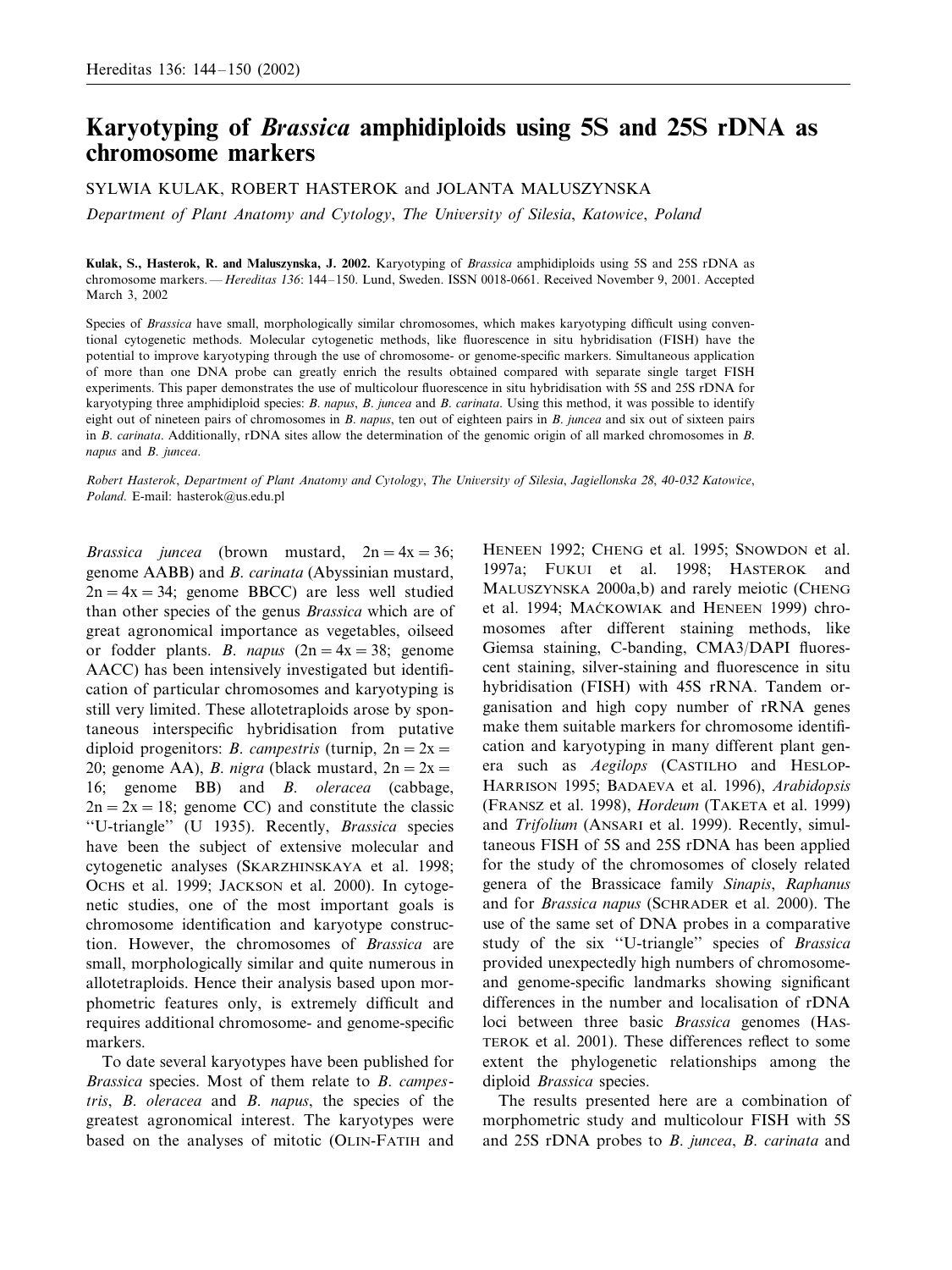# **Karyotyping of** *Brassica* **amphidiploids using 5S and 25S rDNA as chromosome markers**

SYLWIA KULAK, ROBERT HASTEROK and JOLANTA MALUSZYNSKA

*Department of Plant Anatomy and Cytology*, *The Uniersity of Silesia*, *Katowice*, *Poland*

**Kulak, S., Hasterok, R. and Maluszynska, J. 2002.** Karyotyping of *Brassica* amphidiploids using 5S and 25S rDNA as chromosome markers. —*Hereditas* 136: 144–150. Lund, Sweden. ISSN 0018-0661. Received November 9, 2001. Accepted March 3, 2002

Species of *Brassica* have small, morphologically similar chromosomes, which makes karyotyping difficult using conventional cytogenetic methods. Molecular cytogenetic methods, like fluorescence in situ hybridisation (FISH) have the potential to improve karyotyping through the use of chromosome- or genome-specific markers. Simultaneous application of more than one DNA probe can greatly enrich the results obtained compared with separate single target FISH experiments. This paper demonstrates the use of multicolour fluorescence in situ hybridisation with 5S and 25S rDNA for karyotyping three amphidiploid species: *B*. *napus*, *B*. *juncea* and *B*. *carinata*. Using this method, it was possible to identify eight out of nineteen pairs of chromosomes in *B*. *napus*, ten out of eighteen pairs in *B*. *juncea* and six out of sixteen pairs in *B*. *carinata*. Additionally, rDNA sites allow the determination of the genomic origin of all marked chromosomes in *B*. *napus* and *B*. *juncea*.

*Robert Hasterok*, *Department of Plant Anatomy and Cytology*, *The Uniersity of Silesia*, *Jagiellonska* <sup>28</sup>, <sup>40</sup>-<sup>032</sup> *Katowice*, *Poland*. E-mail: hasterok@us.edu.pl

*Brassica juncea* (brown mustard,  $2n = 4x = 36$ ; genome AABB) and *B*. *carinata* (Abyssinian mustard,  $2n=4x=34$ ; genome BBCC) are less well studied than other species of the genus *Brassica* which are of great agronomical importance as vegetables, oilseed or fodder plants. *B. napus*  $(2n = 4x = 38;$  genome AACC) has been intensively investigated but identification of particular chromosomes and karyotyping is still very limited. These allotetraploids arose by spontaneous interspecific hybridisation from putative diploid progenitors: *B. campestris* (turnip,  $2n = 2x =$ 20; genome AA), *B. nigra* (black mustard,  $2n = 2x =$ 16; genome BB) and *B*. *oleracea* (cabbage,  $2n=2x=18$ ; genome CC) and constitute the classic ''U-triangle'' (U 1935). Recently, *Brassica* species have been the subject of extensive molecular and cytogenetic analyses (SKARZHINSKAYA et al. 1998; OCHS et al. 1999; JACKSON et al. 2000). In cytogenetic studies, one of the most important goals is chromosome identification and karyotype construction. However, the chromosomes of *Brassica* are small, morphologically similar and quite numerous in allotetraploids. Hence their analysis based upon morphometric features only, is extremely difficult and requires additional chromosome- and genome-specific markers.

To date several karyotypes have been published for *Brassica* species. Most of them relate to *B*. *campestris*, *B*. *oleracea* and *B*. *napus*, the species of the greatest agronomical interest. The karyotypes were based on the analyses of mitotic (OLIN-FATIH and HENEEN 1992; CHENG et al. 1995; SNOWDON et al. 1997a; FUKUI et al. 1998; HASTEROK and MALUSZYNSKA 2000a,b) and rarely meiotic (CHENG et al. 1994; MACKOWIAK and HENEEN 1999) chromosomes after different staining methods, like Giemsa staining, C-banding, CMA3/DAPI fluorescent staining, silver-staining and fluorescence in situ hybridisation (FISH) with 45S rRNA. Tandem organisation and high copy number of rRNA genes make them suitable markers for chromosome identification and karyotyping in many different plant genera such as *Aegilops* (CASTILHO and HESLOP-HARRISON 1995; BADAEVA et al. 1996), *Arabidopsis* (FRANSZ et al. 1998), *Hordeum* (TAKETA et al. 1999) and *Trifolium* (ANSARI et al. 1999). Recently, simultaneous FISH of 5S and 25S rDNA has been applied for the study of the chromosomes of closely related genera of the Brassicace family *Sinapis*, *Raphanus* and for *Brassica napus* (SCHRADER et al. 2000). The use of the same set of DNA probes in a comparative study of the six ''U-triangle'' species of *Brassica* provided unexpectedly high numbers of chromosomeand genome-specific landmarks showing significant differences in the number and localisation of rDNA loci between three basic *Brassica* genomes (HAS-TEROK et al. 2001). These differences reflect to some extent the phylogenetic relationships among the diploid *Brassica* species.

The results presented here are a combination of morphometric study and multicolour FISH with 5S and 25S rDNA probes to *B*. *juncea*, *B*. *carinata* and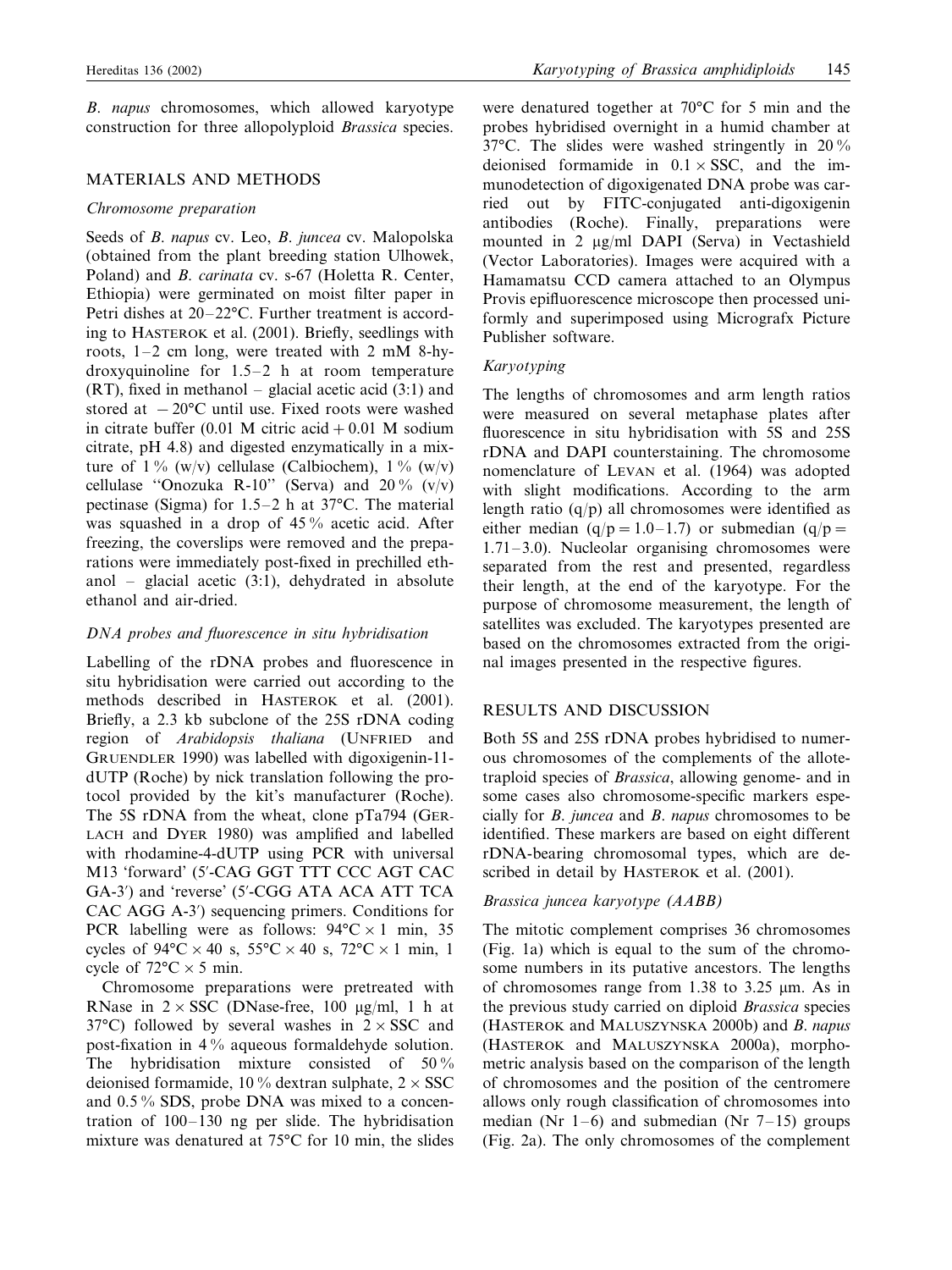*B*. *napus* chromosomes, which allowed karyotype construction for three allopolyploid *Brassica* species.

### MATERIALS AND METHODS

#### *Chromosome preparation*

Seeds of *B*. *napus* cv. Leo, *B*. *juncea* cv. Malopolska (obtained from the plant breeding station Ulhowek, Poland) and *B*. *carinata* cv. s-67 (Holetta R. Center, Ethiopia) were germinated on moist filter paper in Petri dishes at 20–22°C. Further treatment is according to HASTEROK et al. (2001). Briefly, seedlings with roots, 1–2 cm long, were treated with 2 mM 8-hydroxyquinoline for 1.5–2 h at room temperature (RT), fixed in methanol – glacial acetic acid (3:1) and stored at  $-20$ °C until use. Fixed roots were washed in citrate buffer (0.01 M citric acid  $+0.01$  M sodium citrate, pH 4.8) and digested enzymatically in a mixture of  $1\%$  (w/v) cellulase (Calbiochem),  $1\%$  (w/v) cellulase "Onozuka R-10" (Serva) and  $20\%$  (v/v) pectinase (Sigma) for 1.5–2 h at 37°C. The material was squashed in a drop of 45 % acetic acid. After freezing, the coverslips were removed and the preparations were immediately post-fixed in prechilled ethanol – glacial acetic (3:1), dehydrated in absolute ethanol and air-dried.

## *DNA probes and fluorescence in situ hybridisation*

Labelling of the rDNA probes and fluorescence in situ hybridisation were carried out according to the methods described in HASTEROK et al. (2001). Briefly, a 2.3 kb subclone of the 25S rDNA coding region of *Arabidopsis thaliana* (UNFRIED and GRUENDLER 1990) was labelled with digoxigenin-11 dUTP (Roche) by nick translation following the protocol provided by the kit's manufacturer (Roche). The 5S rDNA from the wheat, clone pTa794 (GER-LACH and DYER 1980) was amplified and labelled with rhodamine-4-dUTP using PCR with universal M13 'forward' (5--CAG GGT TTT CCC AGT CAC GA-3') and 'reverse' (5'-CGG ATA ACA ATT TCA CAC AGG A-3') sequencing primers. Conditions for PCR labelling were as follows:  $94^{\circ}$ C  $\times$  1 min, 35 cycles of  $94^{\circ}$ C × 40 s,  $55^{\circ}$ C × 40 s,  $72^{\circ}$ C × 1 min, 1 cycle of  $72^{\circ}$ C  $\times$  5 min.

Chromosome preparations were pretreated with RNase in  $2 \times SSC$  (DNase-free, 100 µg/ml, 1 h at 37°C) followed by several washes in  $2 \times SSC$  and post-fixation in 4 % aqueous formaldehyde solution. The hybridisation mixture consisted of 50% deionised formamide, 10 % dextran sulphate,  $2 \times SSC$ and 0.5 % SDS, probe DNA was mixed to a concentration of 100–130 ng per slide. The hybridisation mixture was denatured at 75°C for 10 min, the slides were denatured together at 70°C for 5 min and the probes hybridised overnight in a humid chamber at 37°C. The slides were washed stringently in 20 % deionised formamide in  $0.1 \times$  SSC, and the immunodetection of digoxigenated DNA probe was carried out by FITC-conjugated anti-digoxigenin antibodies (Roche). Finally, preparations were mounted in 2  $\mu$ g/ml DAPI (Serva) in Vectashield (Vector Laboratories). Images were acquired with a Hamamatsu CCD camera attached to an Olympus Provis epifluorescence microscope then processed uniformly and superimposed using Micrografx Picture Publisher software.

# *Karyotyping*

The lengths of chromosomes and arm length ratios were measured on several metaphase plates after fluorescence in situ hybridisation with 5S and 25S rDNA and DAPI counterstaining. The chromosome nomenclature of LEVAN et al. (1964) was adopted with slight modifications. According to the arm length ratio  $(q/p)$  all chromosomes were identified as either median  $(q/p=1.0-1.7)$  or submedian  $(q/p=$ 1.71–3.0). Nucleolar organising chromosomes were separated from the rest and presented, regardless their length, at the end of the karyotype. For the purpose of chromosome measurement, the length of satellites was excluded. The karyotypes presented are based on the chromosomes extracted from the original images presented in the respective figures.

### RESULTS AND DISCUSSION

Both 5S and 25S rDNA probes hybridised to numerous chromosomes of the complements of the allotetraploid species of *Brassica*, allowing genome- and in some cases also chromosome-specific markers especially for *B*. *juncea* and *B*. *napus* chromosomes to be identified. These markers are based on eight different rDNA-bearing chromosomal types, which are described in detail by HASTEROK et al. (2001).

### *Brassica juncea karyotype* (*AABB*)

The mitotic complement comprises 36 chromosomes (Fig. 1a) which is equal to the sum of the chromosome numbers in its putative ancestors. The lengths of chromosomes range from 1.38 to 3.25  $\mu$ m. As in the previous study carried on diploid *Brassica* species (HASTEROK and MALUSZYNSKA 2000b) and *B*. *napus* (HASTEROK and MALUSZYNSKA 2000a), morphometric analysis based on the comparison of the length of chromosomes and the position of the centromere allows only rough classification of chromosomes into median (Nr 1–6) and submedian (Nr  $7-15$ ) groups (Fig. 2a). The only chromosomes of the complement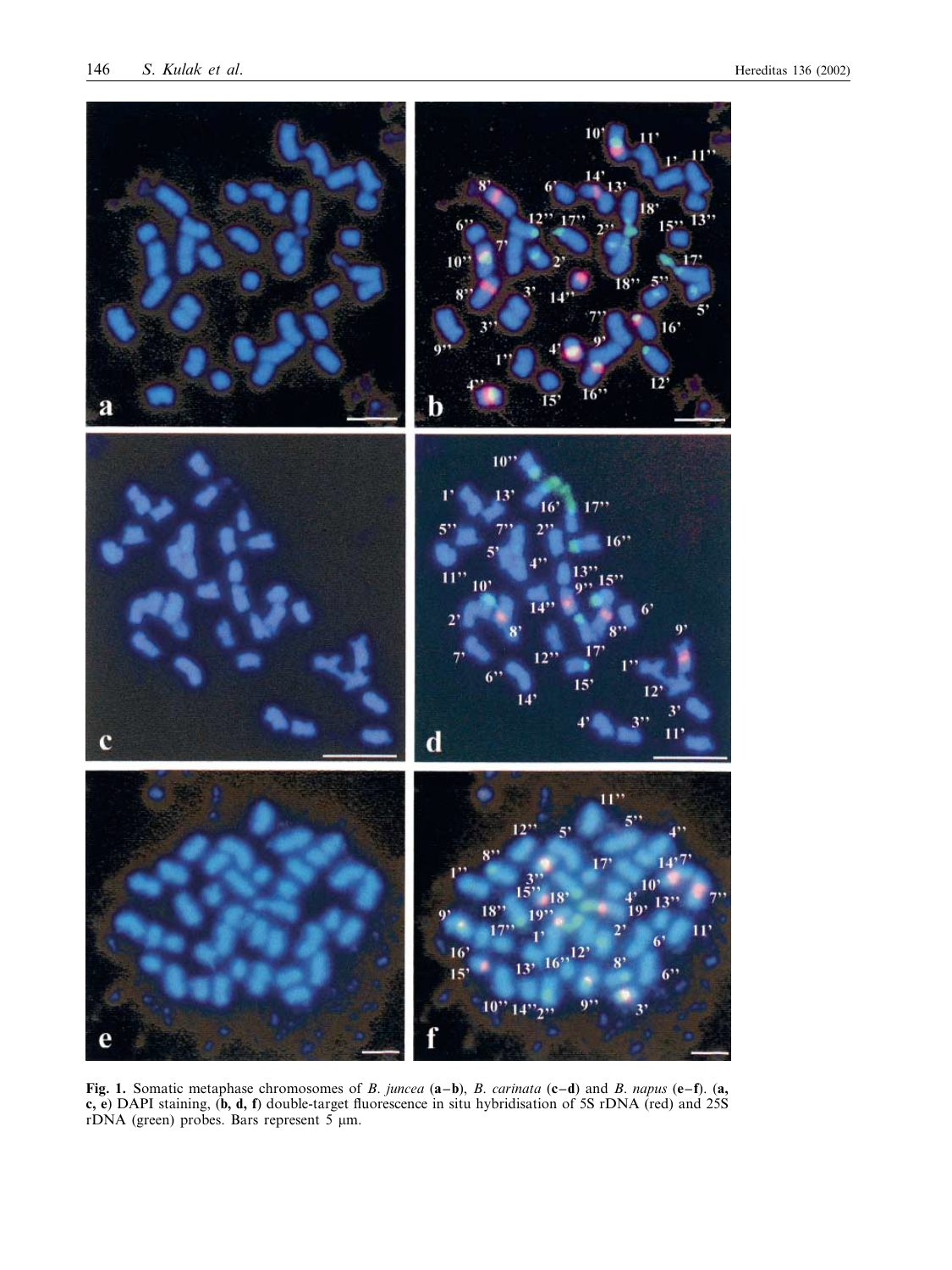

**Fig. 1.** Somatic metaphase chromosomes of *B*. *juncea* (**a–b**), *B*. *carinata* (**c–d**) and *B*. *napus* (**e–f**). (**a, c, e**) DAPI staining, (**b, d, f**) double-target fluorescence in situ hybridisation of 5S rDNA (red) and 25S rDNA (green) probes. Bars represent 5  $\mu$ m.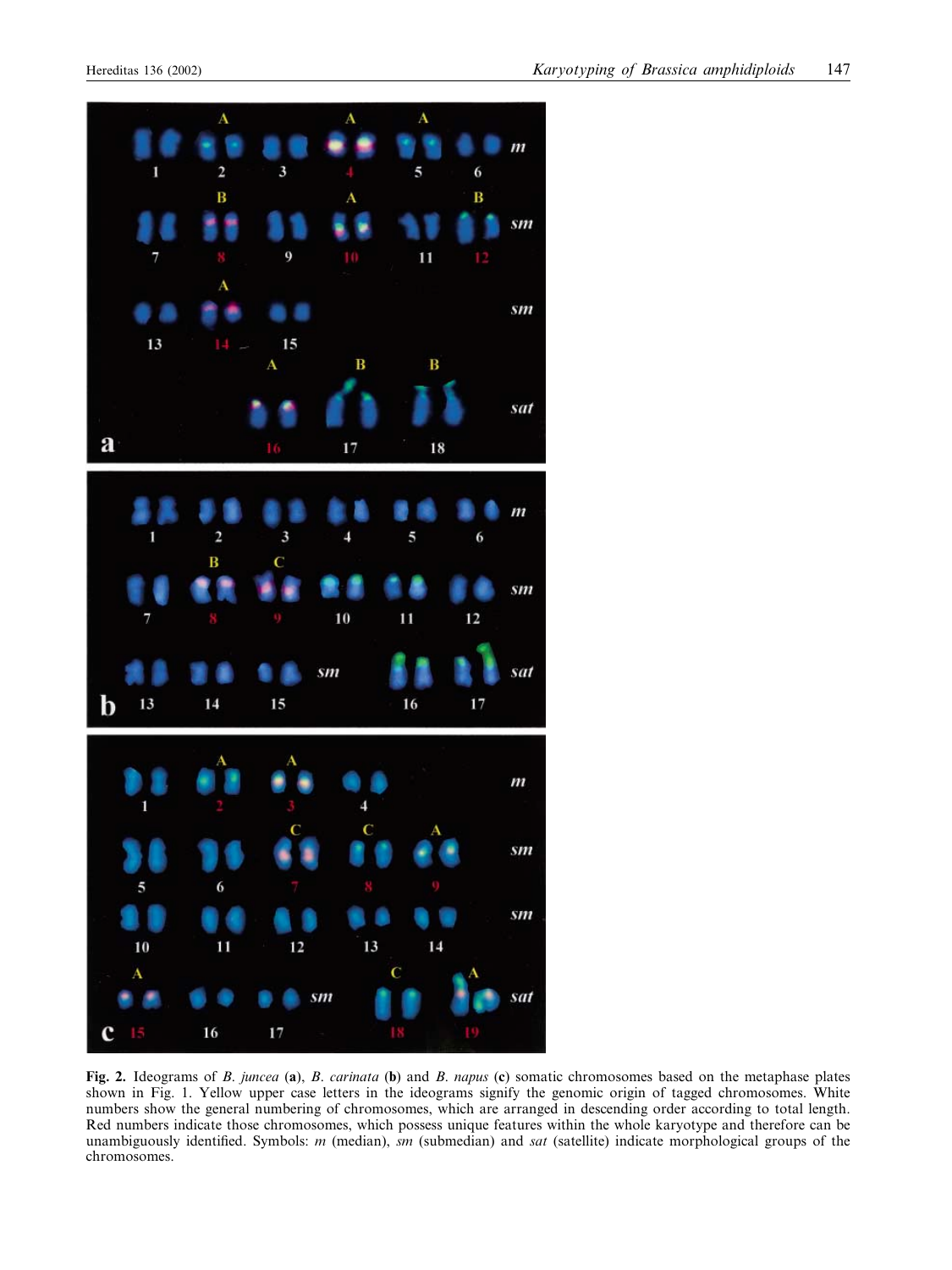

**Fig. 2.** Ideograms of *B*. *juncea* (**a**), *B*. *carinata* (**b**) and *B*. *napus* (**c**) somatic chromosomes based on the metaphase plates shown in Fig. 1. Yellow upper case letters in the ideograms signify the genomic origin of tagged chromosomes. White numbers show the general numbering of chromosomes, which are arranged in descending order according to total length. Red numbers indicate those chromosomes, which possess unique features within the whole karyotype and therefore can be unambiguously identified. Symbols: *m* (median), *sm* (submedian) and *sat* (satellite) indicate morphological groups of the chromosomes.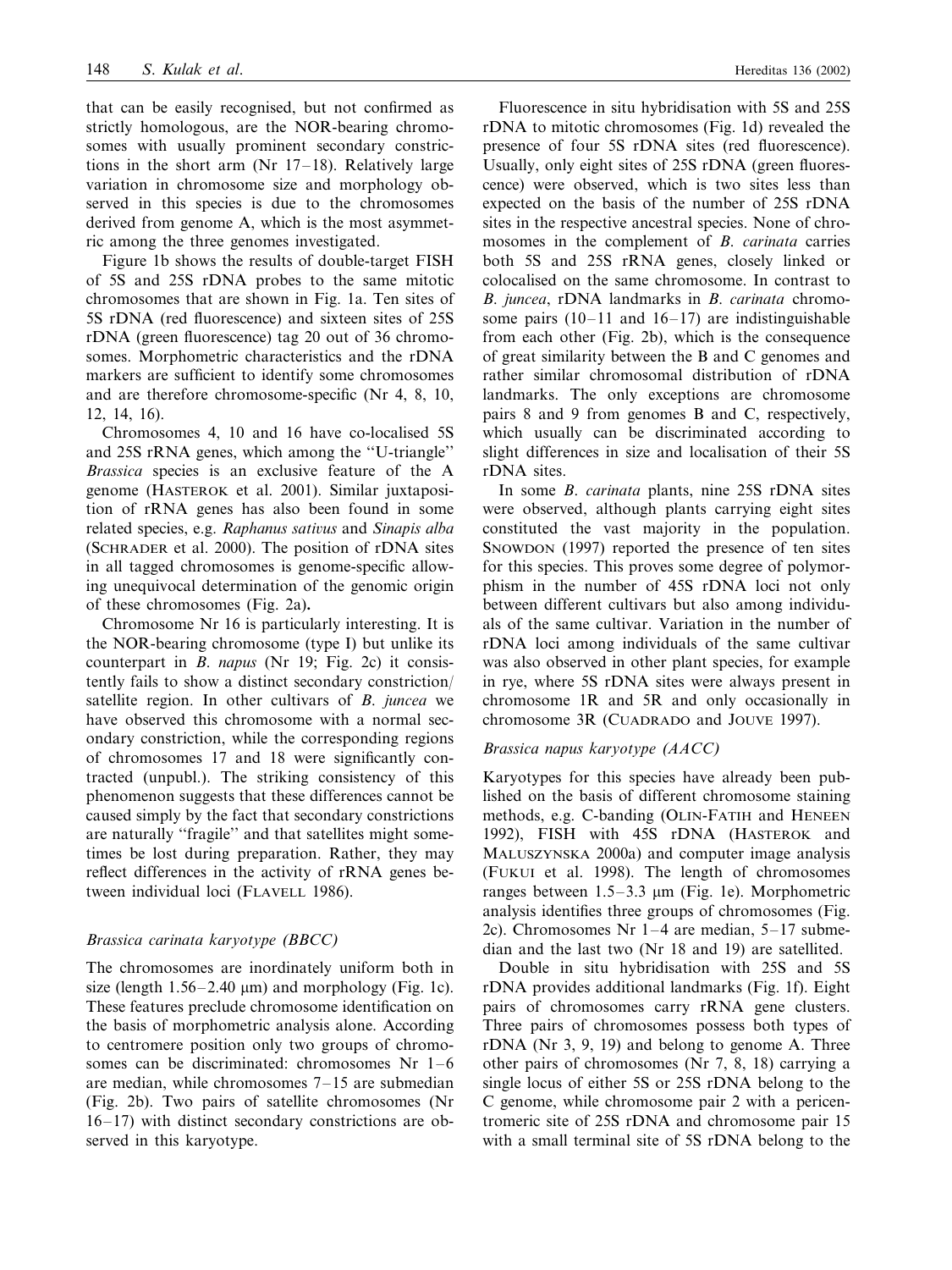that can be easily recognised, but not confirmed as strictly homologous, are the NOR-bearing chromosomes with usually prominent secondary constrictions in the short arm (Nr 17–18). Relatively large variation in chromosome size and morphology observed in this species is due to the chromosomes derived from genome A, which is the most asymmetric among the three genomes investigated.

Figure 1b shows the results of double-target FISH of 5S and 25S rDNA probes to the same mitotic chromosomes that are shown in Fig. 1a. Ten sites of 5S rDNA (red fluorescence) and sixteen sites of 25S rDNA (green fluorescence) tag 20 out of 36 chromosomes. Morphometric characteristics and the rDNA markers are sufficient to identify some chromosomes and are therefore chromosome-specific (Nr 4, 8, 10, 12, 14, 16).

Chromosomes 4, 10 and 16 have co-localised 5S and 25S rRNA genes, which among the ''U-triangle'' *Brassica* species is an exclusive feature of the A genome (HASTEROK et al. 2001). Similar juxtaposition of rRNA genes has also been found in some related species, e.g. *Raphanus satius* and *Sinapis alba* (SCHRADER et al. 2000). The position of rDNA sites in all tagged chromosomes is genome-specific allowing unequivocal determination of the genomic origin of these chromosomes (Fig. 2a)**.**

Chromosome Nr 16 is particularly interesting. It is the NOR-bearing chromosome (type I) but unlike its counterpart in *B*. *napus* (Nr 19; Fig. 2c) it consistently fails to show a distinct secondary constriction/ satellite region. In other cultivars of *B*. *juncea* we have observed this chromosome with a normal secondary constriction, while the corresponding regions of chromosomes 17 and 18 were significantly contracted (unpubl.). The striking consistency of this phenomenon suggests that these differences cannot be caused simply by the fact that secondary constrictions are naturally "fragile" and that satellites might sometimes be lost during preparation. Rather, they may reflect differences in the activity of rRNA genes between individual loci (FLAVELL 1986).

### *Brassica carinata karyotype* (*BBCC*)

The chromosomes are inordinately uniform both in size (length  $1.56-2.40 \mu m$ ) and morphology (Fig. 1c). These features preclude chromosome identification on the basis of morphometric analysis alone. According to centromere position only two groups of chromosomes can be discriminated: chromosomes Nr 1–6 are median, while chromosomes 7–15 are submedian (Fig. 2b). Two pairs of satellite chromosomes (Nr 16–17) with distinct secondary constrictions are observed in this karyotype.

Fluorescence in situ hybridisation with 5S and 25S rDNA to mitotic chromosomes (Fig. 1d) revealed the presence of four 5S rDNA sites (red fluorescence). Usually, only eight sites of 25S rDNA (green fluorescence) were observed, which is two sites less than expected on the basis of the number of 25S rDNA sites in the respective ancestral species. None of chromosomes in the complement of *B*. *carinata* carries both 5S and 25S rRNA genes, closely linked or colocalised on the same chromosome. In contrast to *B*. *juncea*, rDNA landmarks in *B*. *carinata* chromosome pairs  $(10-11$  and  $16-17$ ) are indistinguishable from each other (Fig. 2b), which is the consequence of great similarity between the B and C genomes and rather similar chromosomal distribution of rDNA landmarks. The only exceptions are chromosome pairs 8 and 9 from genomes B and C, respectively, which usually can be discriminated according to slight differences in size and localisation of their 5S rDNA sites.

In some *B*. *carinata* plants, nine 25S rDNA sites were observed, although plants carrying eight sites constituted the vast majority in the population. SNOWDON (1997) reported the presence of ten sites for this species. This proves some degree of polymorphism in the number of 45S rDNA loci not only between different cultivars but also among individuals of the same cultivar. Variation in the number of rDNA loci among individuals of the same cultivar was also observed in other plant species, for example in rye, where 5S rDNA sites were always present in chromosome 1R and 5R and only occasionally in chromosome 3R (CUADRADO and JOUVE 1997).

#### *Brassica napus karyotype* (*AACC*)

Karyotypes for this species have already been published on the basis of different chromosome staining methods, e.g. C-banding (OLIN-FATIH and HENEEN 1992), FISH with 45S rDNA (HASTEROK and MALUSZYNSKA 2000a) and computer image analysis (FUKUI et al. 1998). The length of chromosomes ranges between  $1.5-3.3 \mu m$  (Fig. 1e). Morphometric analysis identifies three groups of chromosomes (Fig. 2c). Chromosomes Nr 1–4 are median, 5–17 submedian and the last two (Nr 18 and 19) are satellited.

Double in situ hybridisation with 25S and 5S rDNA provides additional landmarks (Fig. 1f). Eight pairs of chromosomes carry rRNA gene clusters. Three pairs of chromosomes possess both types of rDNA (Nr 3, 9, 19) and belong to genome A. Three other pairs of chromosomes (Nr 7, 8, 18) carrying a single locus of either 5S or 25S rDNA belong to the C genome, while chromosome pair 2 with a pericentromeric site of 25S rDNA and chromosome pair 15 with a small terminal site of 5S rDNA belong to the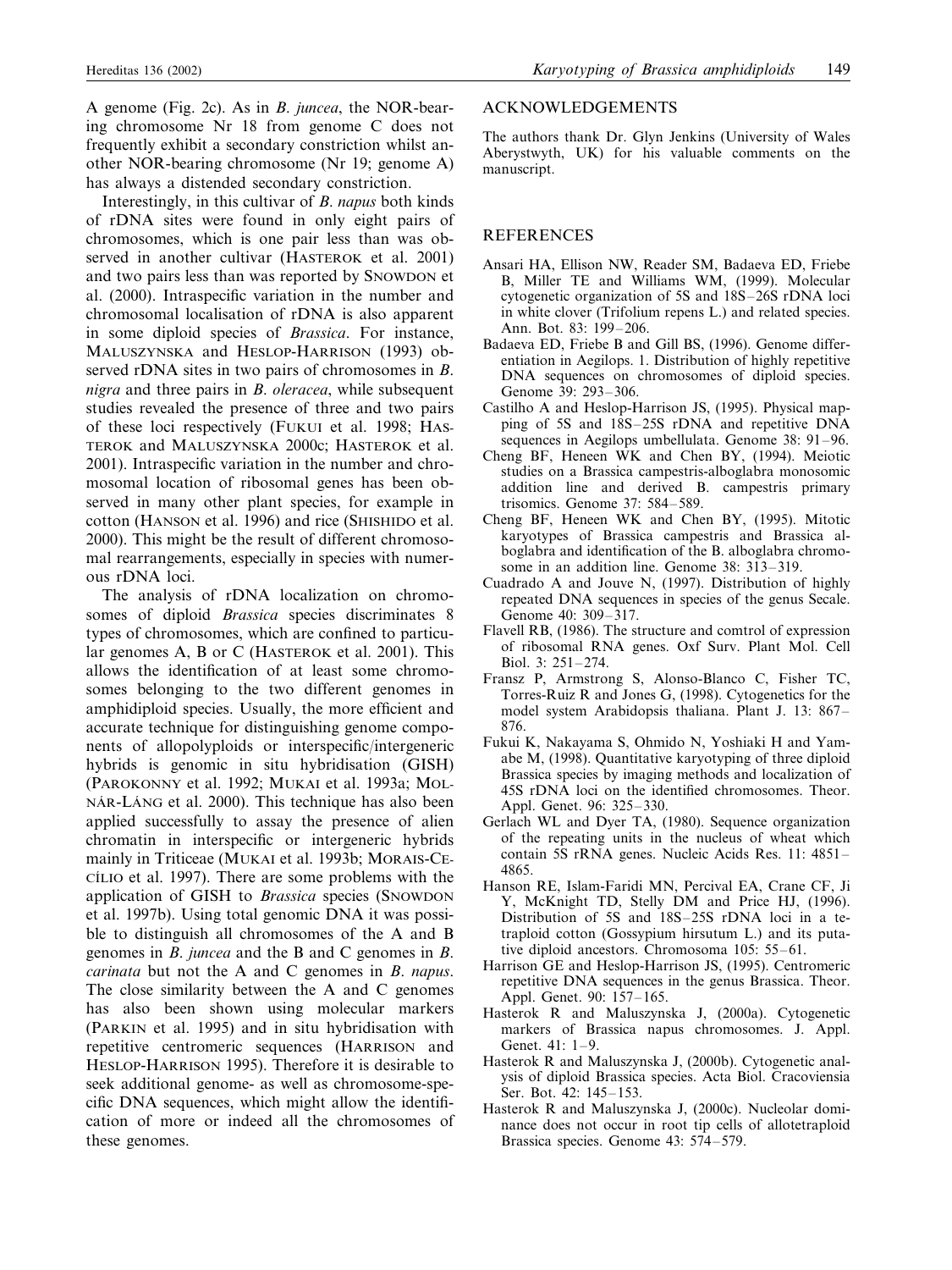A genome (Fig. 2c). As in *B*. *juncea*, the NOR-bearing chromosome Nr 18 from genome C does not frequently exhibit a secondary constriction whilst another NOR-bearing chromosome (Nr 19; genome A) has always a distended secondary constriction.

Interestingly, in this cultivar of *B*. *napus* both kinds of rDNA sites were found in only eight pairs of chromosomes, which is one pair less than was observed in another cultivar (HASTEROK et al. 2001) and two pairs less than was reported by SNOWDON et al. (2000). Intraspecific variation in the number and chromosomal localisation of rDNA is also apparent in some diploid species of *Brassica*. For instance, MALUSZYNSKA and HESLOP-HARRISON (1993) observed rDNA sites in two pairs of chromosomes in *B*. *nigra* and three pairs in *B*. *oleracea*, while subsequent studies revealed the presence of three and two pairs of these loci respectively (FUKUI et al. 1998; HAS-TEROK and MALUSZYNSKA 2000c; HASTEROK et al. 2001). Intraspecific variation in the number and chromosomal location of ribosomal genes has been observed in many other plant species, for example in cotton (HANSON et al. 1996) and rice (SHISHIDO et al. 2000). This might be the result of different chromosomal rearrangements, especially in species with numerous rDNA loci.

The analysis of rDNA localization on chromosomes of diploid *Brassica* species discriminates 8 types of chromosomes, which are confined to particular genomes A, B or C (HASTEROK et al. 2001). This allows the identification of at least some chromosomes belonging to the two different genomes in amphidiploid species. Usually, the more efficient and accurate technique for distinguishing genome components of allopolyploids or interspecific/intergeneric hybrids is genomic in situ hybridisation (GISH) (PAROKONNY et al. 1992; MUKAI et al. 1993a; MOL-NÁR-LÁNG et al. 2000). This technique has also been applied successfully to assay the presence of alien chromatin in interspecific or intergeneric hybrids mainly in Triticeae (MUKAI et al. 1993b; MORAIS-CE-CI´LIO et al. 1997). There are some problems with the application of GISH to *Brassica* species (SNOWDON et al. 1997b). Using total genomic DNA it was possible to distinguish all chromosomes of the A and B genomes in *B*. *juncea* and the B and C genomes in *B*. *carinata* but not the A and C genomes in *B*. *napus*. The close similarity between the A and C genomes has also been shown using molecular markers (PARKIN et al. 1995) and in situ hybridisation with repetitive centromeric sequences (HARRISON and HESLOP-HARRISON 1995). Therefore it is desirable to seek additional genome- as well as chromosome-specific DNA sequences, which might allow the identification of more or indeed all the chromosomes of these genomes.

#### ACKNOWLEDGEMENTS

The authors thank Dr. Glyn Jenkins (University of Wales Aberystwyth, UK) for his valuable comments on the manuscript.

#### REFERENCES

- Ansari HA, Ellison NW, Reader SM, Badaeva ED, Friebe B, Miller TE and Williams WM, (1999). Molecular cytogenetic organization of 5S and 18S–26S rDNA loci in white clover (Trifolium repens L.) and related species. Ann. Bot. 83: 199–206.
- Badaeva ED, Friebe B and Gill BS, (1996). Genome differentiation in Aegilops. 1. Distribution of highly repetitive DNA sequences on chromosomes of diploid species. Genome 39: 293–306.
- Castilho A and Heslop-Harrison JS, (1995). Physical mapping of 5S and 18S–25S rDNA and repetitive DNA sequences in Aegilops umbellulata. Genome 38: 91–96.
- Cheng BF, Heneen WK and Chen BY, (1994). Meiotic studies on a Brassica campestris-alboglabra monosomic addition line and derived B. campestris primary trisomics. Genome 37: 584–589.
- Cheng BF, Heneen WK and Chen BY, (1995). Mitotic karyotypes of Brassica campestris and Brassica alboglabra and identification of the B. alboglabra chromosome in an addition line. Genome 38: 313–319.
- Cuadrado A and Jouve N, (1997). Distribution of highly repeated DNA sequences in species of the genus Secale. Genome 40: 309–317.
- Flavell RB, (1986). The structure and comtrol of expression of ribosomal RNA genes. Oxf Surv. Plant Mol. Cell Biol. 3: 251–274.
- Fransz P, Armstrong S, Alonso-Blanco C, Fisher TC, Torres-Ruiz R and Jones G, (1998). Cytogenetics for the model system Arabidopsis thaliana. Plant J. 13: 867– 876.
- Fukui K, Nakayama S, Ohmido N, Yoshiaki H and Yamabe M, (1998). Quantitative karyotyping of three diploid Brassica species by imaging methods and localization of 45S rDNA loci on the identified chromosomes. Theor. Appl. Genet. 96: 325–330.
- Gerlach WL and Dyer TA, (1980). Sequence organization of the repeating units in the nucleus of wheat which contain 5S rRNA genes. Nucleic Acids Res. 11: 4851– 4865.
- Hanson RE, Islam-Faridi MN, Percival EA, Crane CF, Ji Y, McKnight TD, Stelly DM and Price HJ, (1996). Distribution of 5S and 18S–25S rDNA loci in a tetraploid cotton (Gossypium hirsutum L.) and its putative diploid ancestors. Chromosoma 105: 55–61.
- Harrison GE and Heslop-Harrison JS, (1995). Centromeric repetitive DNA sequences in the genus Brassica. Theor. Appl. Genet. 90: 157–165.
- Hasterok R and Maluszynska J, (2000a). Cytogenetic markers of Brassica napus chromosomes. J. Appl. Genet. 41: 1–9.
- Hasterok R and Maluszynska J, (2000b). Cytogenetic analysis of diploid Brassica species. Acta Biol. Cracoviensia Ser. Bot. 42: 145–153.
- Hasterok R and Maluszynska J, (2000c). Nucleolar dominance does not occur in root tip cells of allotetraploid Brassica species. Genome 43: 574–579.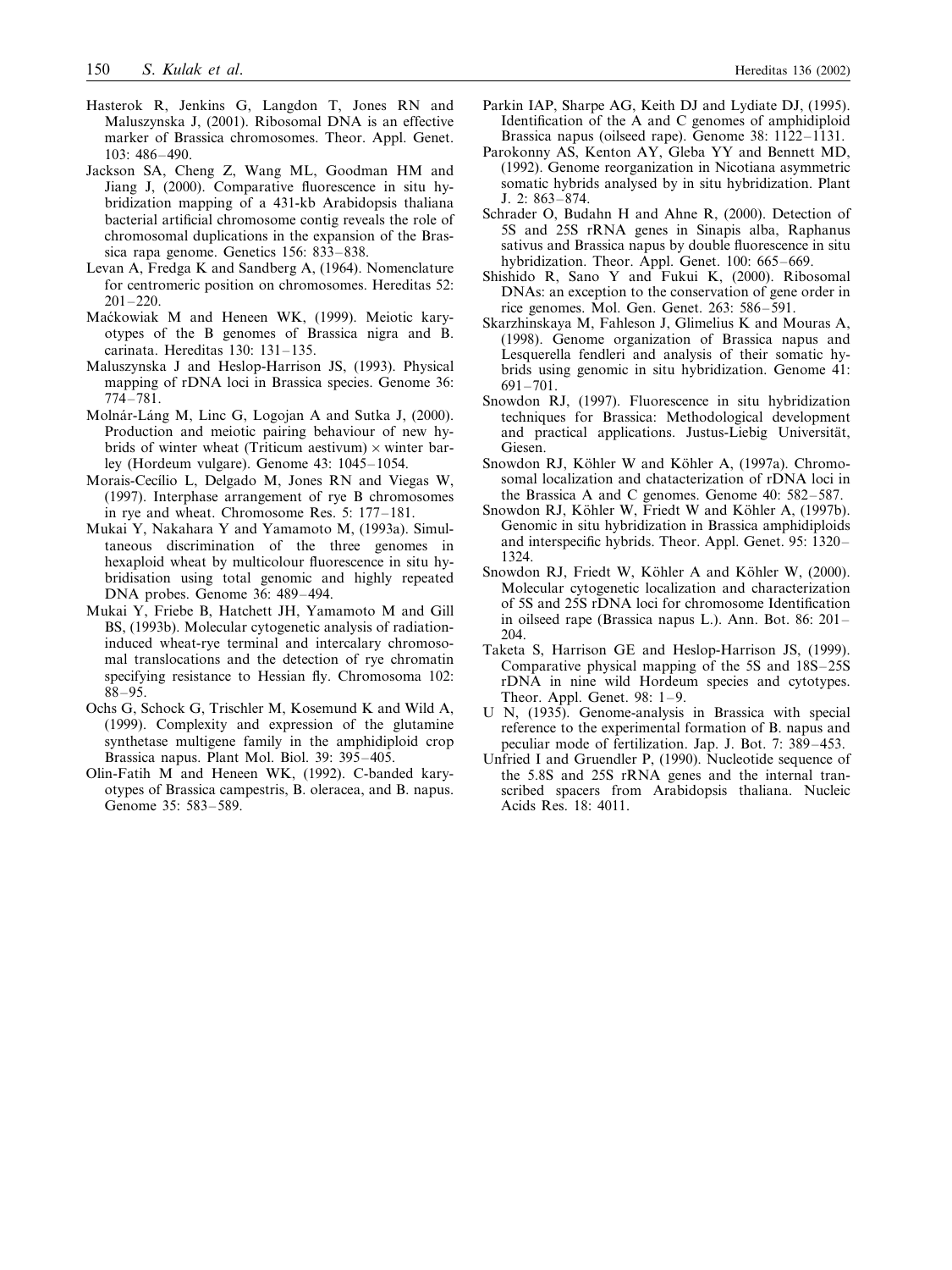- Hasterok R, Jenkins G, Langdon T, Jones RN and Maluszynska J, (2001). Ribosomal DNA is an effective marker of Brassica chromosomes. Theor. Appl. Genet. 103: 486–490.
- Jackson SA, Cheng Z, Wang ML, Goodman HM and Jiang J, (2000). Comparative fluorescence in situ hybridization mapping of a 431-kb Arabidopsis thaliana bacterial artificial chromosome contig reveals the role of chromosomal duplications in the expansion of the Brassica rapa genome. Genetics 156: 833–838.
- Levan A, Fredga K and Sandberg A, (1964). Nomenclature for centromeric position on chromosomes. Hereditas 52:  $201 - 220$ .
- Maćkowiak M and Heneen WK, (1999). Meiotic karyotypes of the B genomes of Brassica nigra and B. carinata. Hereditas 130: 131–135.
- Maluszynska J and Heslop-Harrison JS, (1993). Physical mapping of rDNA loci in Brassica species. Genome 36: 774–781.
- Molnár-Láng M, Linc G, Logojan A and Sutka J, (2000). Production and meiotic pairing behaviour of new hybrids of winter wheat (Triticum aestivum)  $\times$  winter barley (Hordeum vulgare). Genome 43: 1045–1054.
- Morais-Cecílio L, Delgado M, Jones RN and Viegas W, (1997). Interphase arrangement of rye B chromosomes in rye and wheat. Chromosome Res. 5: 177–181.
- Mukai Y, Nakahara Y and Yamamoto M, (1993a). Simultaneous discrimination of the three genomes in hexaploid wheat by multicolour fluorescence in situ hybridisation using total genomic and highly repeated DNA probes. Genome 36: 489–494.
- Mukai Y, Friebe B, Hatchett JH, Yamamoto M and Gill BS, (1993b). Molecular cytogenetic analysis of radiationinduced wheat-rye terminal and intercalary chromosomal translocations and the detection of rye chromatin specifying resistance to Hessian fly. Chromosoma 102: 88–95.
- Ochs G, Schock G, Trischler M, Kosemund K and Wild A, (1999). Complexity and expression of the glutamine synthetase multigene family in the amphidiploid crop Brassica napus. Plant Mol. Biol. 39: 395–405.
- Olin-Fatih M and Heneen WK, (1992). C-banded karyotypes of Brassica campestris, B. oleracea, and B. napus. Genome 35: 583–589.
- Parkin IAP, Sharpe AG, Keith DJ and Lydiate DJ, (1995). Identification of the A and C genomes of amphidiploid Brassica napus (oilseed rape). Genome 38: 1122–1131.
- Parokonny AS, Kenton AY, Gleba YY and Bennett MD, (1992). Genome reorganization in Nicotiana asymmetric somatic hybrids analysed by in situ hybridization. Plant J. 2: 863–874.
- Schrader O, Budahn H and Ahne R, (2000). Detection of 5S and 25S rRNA genes in Sinapis alba, Raphanus sativus and Brassica napus by double fluorescence in situ hybridization. Theor. Appl. Genet. 100: 665–669.
- Shishido R, Sano Y and Fukui K, (2000). Ribosomal DNAs: an exception to the conservation of gene order in rice genomes. Mol. Gen. Genet. 263: 586–591.
- Skarzhinskaya M, Fahleson J, Glimelius K and Mouras A, (1998). Genome organization of Brassica napus and Lesquerella fendleri and analysis of their somatic hybrids using genomic in situ hybridization. Genome 41: 691–701.
- Snowdon RJ, (1997). Fluorescence in situ hybridization techniques for Brassica: Methodological development and practical applications. Justus-Liebig Universität, Giesen.
- Snowdon RJ, Köhler W and Köhler A, (1997a). Chromosomal localization and chatacterization of rDNA loci in the Brassica A and C genomes. Genome 40: 582–587.
- Snowdon RJ, Köhler W, Friedt W and Köhler A, (1997b). Genomic in situ hybridization in Brassica amphidiploids and interspecific hybrids. Theor. Appl. Genet. 95: 1320– 1324.
- Snowdon RJ, Friedt W, Köhler A and Köhler W, (2000). Molecular cytogenetic localization and characterization of 5S and 25S rDNA loci for chromosome Identification in oilseed rape (Brassica napus L.). Ann. Bot. 86: 201– 204.
- Taketa S, Harrison GE and Heslop-Harrison JS, (1999). Comparative physical mapping of the 5S and 18S–25S rDNA in nine wild Hordeum species and cytotypes. Theor. Appl. Genet. 98: 1–9.
- U N, (1935). Genome-analysis in Brassica with special reference to the experimental formation of B. napus and peculiar mode of fertilization. Jap. J. Bot. 7: 389–453.
- Unfried I and Gruendler P, (1990). Nucleotide sequence of the 5.8S and 25S rRNA genes and the internal transcribed spacers from Arabidopsis thaliana. Nucleic Acids Res. 18: 4011.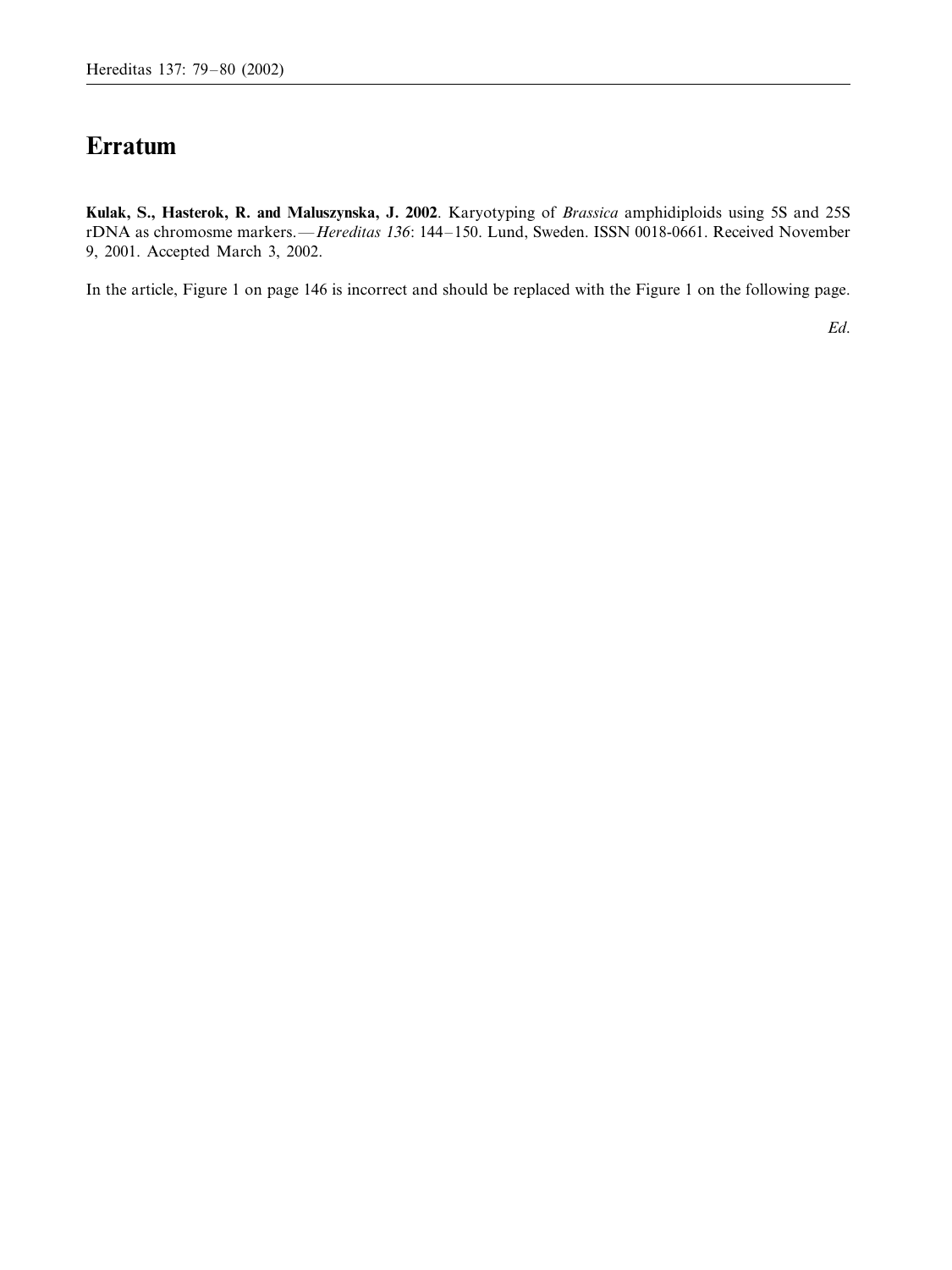# **Erratum**

**Kulak, S., Hasterok, R. and Maluszynska, J. 2002**. Karyotyping of *Brassica* amphidiploids using 5S and 25S rDNA as chromosme markers.—*Hereditas* 136: 144–150. Lund, Sweden. ISSN 0018-0661. Received November 9, 2001. Accepted March 3, 2002.

In the article, Figure 1 on page 146 is incorrect and should be replaced with the Figure 1 on the following page.

*Ed*.